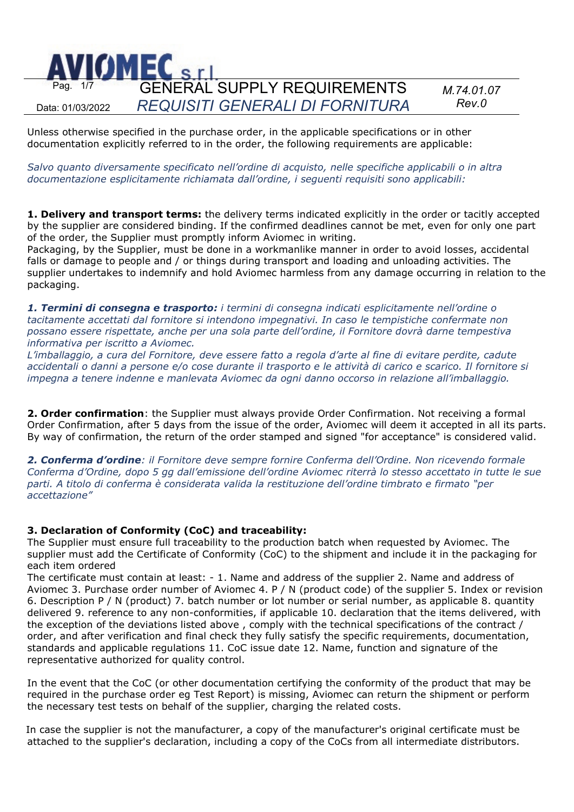

Unless otherwise specified in the purchase order, in the applicable specifications or in other documentation explicitly referred to in the order, the following requirements are applicable:

*Salvo quanto diversamente specificato nell'ordine di acquisto, nelle specifiche applicabili o in altra documentazione esplicitamente richiamata dall'ordine, i seguenti requisiti sono applicabili:*

**1. Delivery and transport terms:** the delivery terms indicated explicitly in the order or tacitly accepted by the supplier are considered binding. If the confirmed deadlines cannot be met, even for only one part of the order, the Supplier must promptly inform Aviomec in writing.

Packaging, by the Supplier, must be done in a workmanlike manner in order to avoid losses, accidental falls or damage to people and / or things during transport and loading and unloading activities. The supplier undertakes to indemnify and hold Aviomec harmless from any damage occurring in relation to the packaging.

*1. Termini di consegna e trasporto: i termini di consegna indicati esplicitamente nell'ordine o tacitamente accettati dal fornitore si intendono impegnativi. In caso le tempistiche confermate non possano essere rispettate, anche per una sola parte dell'ordine, il Fornitore dovrà darne tempestiva informativa per iscritto a Aviomec.* 

*L'imballaggio, a cura del Fornitore, deve essere fatto a regola d'arte al fine di evitare perdite, cadute accidentali o danni a persone e/o cose durante il trasporto e le attività di carico e scarico. Il fornitore si impegna a tenere indenne e manlevata Aviomec da ogni danno occorso in relazione all'imballaggio.*

**2. Order confirmation**: the Supplier must always provide Order Confirmation. Not receiving a formal Order Confirmation, after 5 days from the issue of the order, Aviomec will deem it accepted in all its parts. By way of confirmation, the return of the order stamped and signed "for acceptance" is considered valid.

*2. Conferma d'ordine: il Fornitore deve sempre fornire Conferma dell'Ordine. Non ricevendo formale Conferma d'Ordine, dopo 5 gg dall'emissione dell'ordine Aviomec riterrà lo stesso accettato in tutte le sue parti. A titolo di conferma è considerata valida la restituzione dell'ordine timbrato e firmato "per accettazione"* 

# **3. Declaration of Conformity (CoC) and traceability:**

The Supplier must ensure full traceability to the production batch when requested by Aviomec. The supplier must add the Certificate of Conformity (CoC) to the shipment and include it in the packaging for each item ordered

The certificate must contain at least: - 1. Name and address of the supplier 2. Name and address of Aviomec 3. Purchase order number of Aviomec 4. P / N (product code) of the supplier 5. Index or revision 6. Description P / N (product) 7. batch number or lot number or serial number, as applicable 8. quantity delivered 9. reference to any non-conformities, if applicable 10. declaration that the items delivered, with the exception of the deviations listed above , comply with the technical specifications of the contract / order, and after verification and final check they fully satisfy the specific requirements, documentation, standards and applicable regulations 11. CoC issue date 12. Name, function and signature of the representative authorized for quality control.

In the event that the CoC (or other documentation certifying the conformity of the product that may be required in the purchase order eg Test Report) is missing, Aviomec can return the shipment or perform the necessary test tests on behalf of the supplier, charging the related costs.

In case the supplier is not the manufacturer, a copy of the manufacturer's original certificate must be attached to the supplier's declaration, including a copy of the CoCs from all intermediate distributors.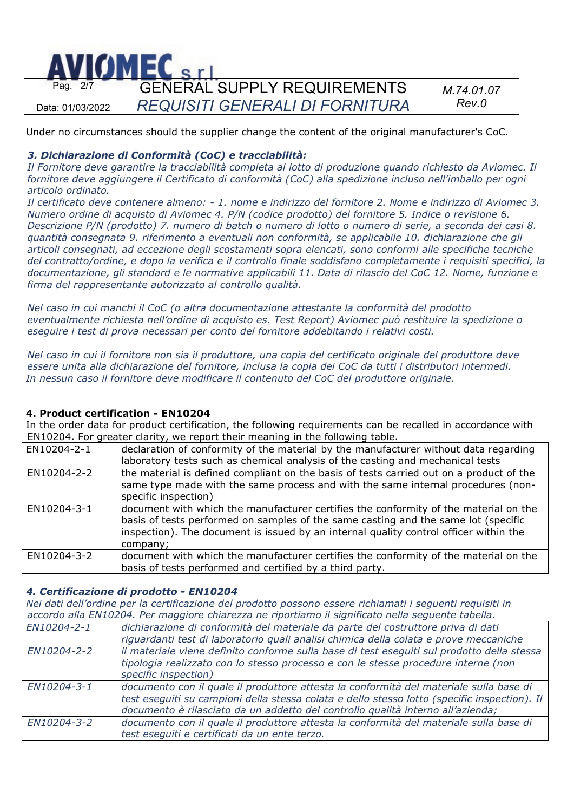

Under no circumstances should the supplier change the content of the original manufacturer's CoC.

## *3. Dichiarazione di Conformità (CoC) e tracciabilità:*

*Il Fornitore deve garantire la tracciabilità completa al lotto di produzione quando richiesto da Aviomec. Il fornitore deve aggiungere il Certificato di conformità (CoC) alla spedizione incluso nell'imballo per ogni articolo ordinato.*

*Il certificato deve contenere almeno: - 1. nome e indirizzo del fornitore 2. Nome e indirizzo di Aviomec 3. Numero ordine di acquisto di Aviomec 4. P/N (codice prodotto) del fornitore 5. Indice o revisione 6. Descrizione P/N (prodotto) 7. numero di batch o numero di lotto o numero di serie, a seconda dei casi 8. quantità consegnata 9. riferimento a eventuali non conformità, se applicabile 10. dichiarazione che gli articoli consegnati, ad eccezione degli scostamenti sopra elencati, sono conformi alle specifiche tecniche del contratto/ordine, e dopo la verifica e il controllo finale soddisfano completamente i requisiti specifici, la documentazione, gli standard e le normative applicabili 11. Data di rilascio del CoC 12. Nome, funzione e firma del rappresentante autorizzato al controllo qualità.*

*Nel caso in cui manchi il CoC (o altra documentazione attestante la conformità del prodotto eventualmente richiesta nell'ordine di acquisto es. Test Report) Aviomec può restituire la spedizione o eseguire i test di prova necessari per conto del fornitore addebitando i relativi costi.*

*Nel caso in cui il fornitore non sia il produttore, una copia del certificato originale del produttore deve essere unita alla dichiarazione del fornitore, inclusa la copia dei CoC da tutti i distributori intermedi. In nessun caso il fornitore deve modificare il contenuto del CoC del produttore originale.*

## **4. Product certification - EN10204**

In the order data for product certification, the following requirements can be recalled in accordance with EN10204. For greater clarity, we report their meaning in the following table.

| EN10204-2-1 | declaration of conformity of the material by the manufacturer without data regarding<br>laboratory tests such as chemical analysis of the casting and mechanical tests                                                                                                          |
|-------------|---------------------------------------------------------------------------------------------------------------------------------------------------------------------------------------------------------------------------------------------------------------------------------|
| EN10204-2-2 | the material is defined compliant on the basis of tests carried out on a product of the<br>same type made with the same process and with the same internal procedures (non-<br>specific inspection)                                                                             |
| EN10204-3-1 | document with which the manufacturer certifies the conformity of the material on the<br>basis of tests performed on samples of the same casting and the same lot (specific<br>inspection). The document is issued by an internal quality control officer within the<br>company; |
| EN10204-3-2 | document with which the manufacturer certifies the conformity of the material on the<br>basis of tests performed and certified by a third party.                                                                                                                                |

## *4. Certificazione di prodotto - EN10204*

*Nei dati dell'ordine per la certificazione del prodotto possono essere richiamati i seguenti requisiti in accordo alla EN10204. Per maggiore chiarezza ne riportiamo il significato nella seguente tabella.* 

| accordo and Entrezo II Termaggiore chiarczza ne riportiamo ir sigmneato nena seguente tabella. |                                                                                              |
|------------------------------------------------------------------------------------------------|----------------------------------------------------------------------------------------------|
| EN10204-2-1                                                                                    | dichiarazione di conformità del materiale da parte del costruttore priva di dati             |
|                                                                                                | riguardanti test di laboratorio quali analisi chimica della colata e prove meccaniche        |
| EN10204-2-2                                                                                    | il materiale viene definito conforme sulla base di test eseguiti sul prodotto della stessa   |
|                                                                                                | tipologia realizzato con lo stesso processo e con le stesse procedure interne (non           |
|                                                                                                | specific inspection)                                                                         |
| EN10204-3-1                                                                                    | documento con il quale il produttore attesta la conformità del materiale sulla base di       |
|                                                                                                | test eseguiti su campioni della stessa colata e dello stesso lotto (specific inspection). Il |
|                                                                                                | documento è rilasciato da un addetto del controllo qualità interno all'azienda;              |
| EN10204-3-2                                                                                    | documento con il quale il produttore attesta la conformità del materiale sulla base di       |
|                                                                                                | test esequiti e certificati da un ente terzo.                                                |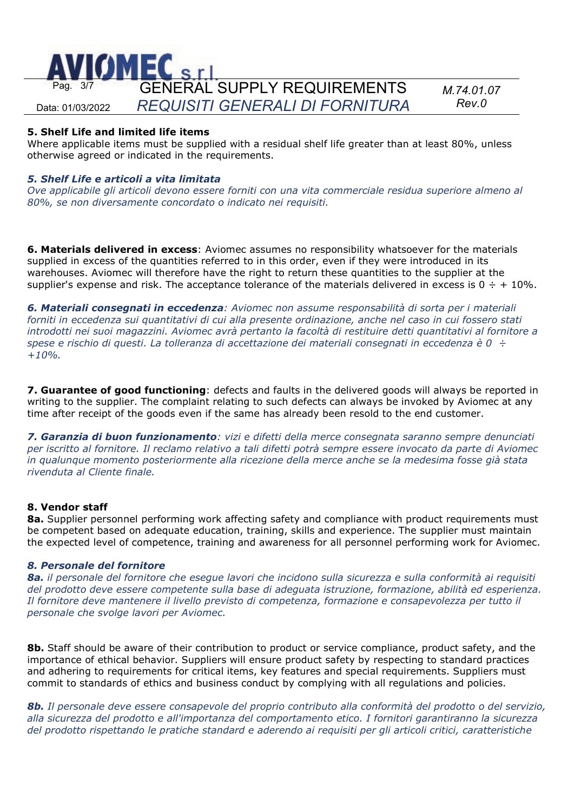

## **5. Shelf Life and limited life items**

Where applicable items must be supplied with a residual shelf life greater than at least 80%, unless otherwise agreed or indicated in the requirements.

## *5. Shelf Life e articoli a vita limitata*

*Ove applicabile gli articoli devono essere forniti con una vita commerciale residua superiore almeno al 80%, se non diversamente concordato o indicato nei requisiti.*

**6. Materials delivered in excess**: Aviomec assumes no responsibility whatsoever for the materials supplied in excess of the quantities referred to in this order, even if they were introduced in its warehouses. Aviomec will therefore have the right to return these quantities to the supplier at the supplier's expense and risk. The acceptance tolerance of the materials delivered in excess is  $0 \div + 10\%$ .

*6. Materiali consegnati in eccedenza: Aviomec non assume responsabilità di sorta per i materiali forniti in eccedenza sui quantitativi di cui alla presente ordinazione, anche nel caso in cui fossero stati introdotti nei suoi magazzini. Aviomec avrà pertanto la facoltà di restituire detti quantitativi al fornitore a spese e rischio di questi. La tolleranza di accettazione dei materiali consegnati in eccedenza è 0 ÷ +10%.*

**7. Guarantee of good functioning**: defects and faults in the delivered goods will always be reported in writing to the supplier. The complaint relating to such defects can always be invoked by Aviomec at any time after receipt of the goods even if the same has already been resold to the end customer.

*7. Garanzia di buon funzionamento: vizi e difetti della merce consegnata saranno sempre denunciati per iscritto al fornitore. Il reclamo relativo a tali difetti potrà sempre essere invocato da parte di Aviomec in qualunque momento posteriormente alla ricezione della merce anche se la medesima fosse già stata rivenduta al Cliente finale.*

## **8. Vendor staff**

**8a.** Supplier personnel performing work affecting safety and compliance with product requirements must be competent based on adequate education, training, skills and experience. The supplier must maintain the expected level of competence, training and awareness for all personnel performing work for Aviomec.

## *8. Personale del fornitore*

*8a. il personale del fornitore che esegue lavori che incidono sulla sicurezza e sulla conformità ai requisiti del prodotto deve essere competente sulla base di adeguata istruzione, formazione, abilità ed esperienza. Il fornitore deve mantenere il livello previsto di competenza, formazione e consapevolezza per tutto il personale che svolge lavori per Aviomec.*

**8b.** Staff should be aware of their contribution to product or service compliance, product safety, and the importance of ethical behavior. Suppliers will ensure product safety by respecting to standard practices and adhering to requirements for critical items, key features and special requirements. Suppliers must commit to standards of ethics and business conduct by complying with all regulations and policies.

*8b. Il personale deve essere consapevole del proprio contributo alla conformità del prodotto o del servizio, alla sicurezza del prodotto e all'importanza del comportamento etico. I fornitori garantiranno la sicurezza del prodotto rispettando le pratiche standard e aderendo ai requisiti per gli articoli critici, caratteristiche*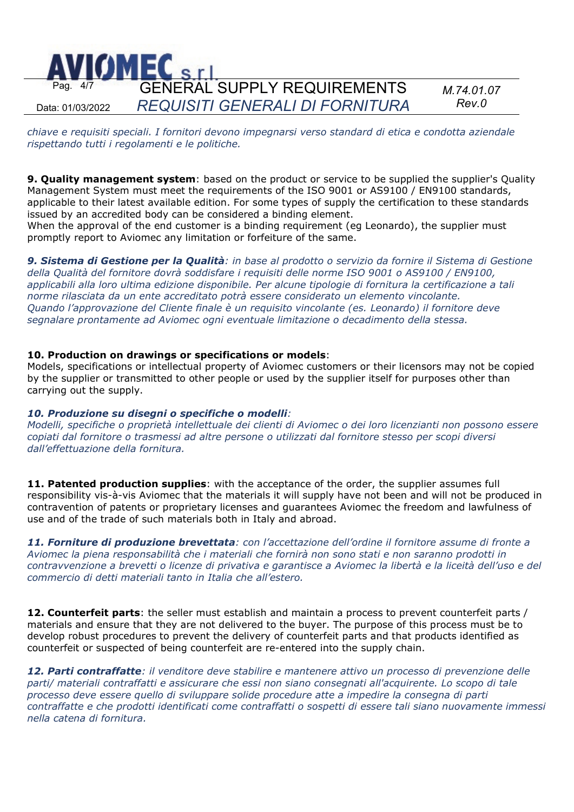

*chiave e requisiti speciali. I fornitori devono impegnarsi verso standard di etica e condotta aziendale rispettando tutti i regolamenti e le politiche.*

**9. Quality management system**: based on the product or service to be supplied the supplier's Quality Management System must meet the requirements of the ISO 9001 or AS9100 / EN9100 standards, applicable to their latest available edition. For some types of supply the certification to these standards issued by an accredited body can be considered a binding element.

When the approval of the end customer is a binding requirement (eg Leonardo), the supplier must promptly report to Aviomec any limitation or forfeiture of the same.

*9. Sistema di Gestione per la Qualità: in base al prodotto o servizio da fornire il Sistema di Gestione della Qualità del fornitore dovrà soddisfare i requisiti delle norme ISO 9001 o AS9100 / EN9100, applicabili alla loro ultima edizione disponibile. Per alcune tipologie di fornitura la certificazione a tali norme rilasciata da un ente accreditato potrà essere considerato un elemento vincolante. Quando l'approvazione del Cliente finale è un requisito vincolante (es. Leonardo) il fornitore deve segnalare prontamente ad Aviomec ogni eventuale limitazione o decadimento della stessa.* 

#### **10. Production on drawings or specifications or models**:

Models, specifications or intellectual property of Aviomec customers or their licensors may not be copied by the supplier or transmitted to other people or used by the supplier itself for purposes other than carrying out the supply.

## *10. Produzione su disegni o specifiche o modelli:*

*Modelli, specifiche o proprietà intellettuale dei clienti di Aviomec o dei loro licenzianti non possono essere copiati dal fornitore o trasmessi ad altre persone o utilizzati dal fornitore stesso per scopi diversi dall'effettuazione della fornitura.*

**11. Patented production supplies**: with the acceptance of the order, the supplier assumes full responsibility vis-à-vis Aviomec that the materials it will supply have not been and will not be produced in contravention of patents or proprietary licenses and guarantees Aviomec the freedom and lawfulness of use and of the trade of such materials both in Italy and abroad.

*11. Forniture di produzione brevettata: con l'accettazione dell'ordine il fornitore assume di fronte a Aviomec la piena responsabilità che i materiali che fornirà non sono stati e non saranno prodotti in contravvenzione a brevetti o licenze di privativa e garantisce a Aviomec la libertà e la liceità dell'uso e del commercio di detti materiali tanto in Italia che all'estero.* 

**12. Counterfeit parts**: the seller must establish and maintain a process to prevent counterfeit parts / materials and ensure that they are not delivered to the buyer. The purpose of this process must be to develop robust procedures to prevent the delivery of counterfeit parts and that products identified as counterfeit or suspected of being counterfeit are re-entered into the supply chain.

*12. Parti contraffatte: il venditore deve stabilire e mantenere attivo un processo di prevenzione delle parti/ materiali contraffatti e assicurare che essi non siano consegnati all'acquirente. Lo scopo di tale processo deve essere quello di sviluppare solide procedure atte a impedire la consegna di parti contraffatte e che prodotti identificati come contraffatti o sospetti di essere tali siano nuovamente immessi nella catena di fornitura.*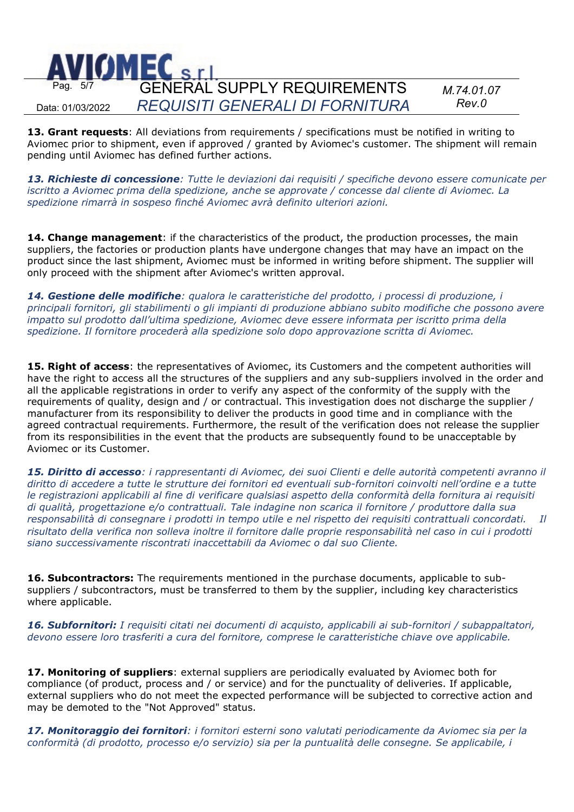

**13. Grant requests**: All deviations from requirements / specifications must be notified in writing to Aviomec prior to shipment, even if approved / granted by Aviomec's customer. The shipment will remain pending until Aviomec has defined further actions.

*13. Richieste di concessione: Tutte le deviazioni dai requisiti / specifiche devono essere comunicate per iscritto a Aviomec prima della spedizione, anche se approvate / concesse dal cliente di Aviomec. La spedizione rimarrà in sospeso finché Aviomec avrà definito ulteriori azioni.*

14. Change management: if the characteristics of the product, the production processes, the main suppliers, the factories or production plants have undergone changes that may have an impact on the product since the last shipment, Aviomec must be informed in writing before shipment. The supplier will only proceed with the shipment after Aviomec's written approval.

*14. Gestione delle modifiche: qualora le caratteristiche del prodotto, i processi di produzione, i principali fornitori, gli stabilimenti o gli impianti di produzione abbiano subito modifiche che possono avere impatto sul prodotto dall'ultima spedizione, Aviomec deve essere informata per iscritto prima della spedizione. Il fornitore procederà alla spedizione solo dopo approvazione scritta di Aviomec.*

**15. Right of access**: the representatives of Aviomec, its Customers and the competent authorities will have the right to access all the structures of the suppliers and any sub-suppliers involved in the order and all the applicable registrations in order to verify any aspect of the conformity of the supply with the requirements of quality, design and / or contractual. This investigation does not discharge the supplier / manufacturer from its responsibility to deliver the products in good time and in compliance with the agreed contractual requirements. Furthermore, the result of the verification does not release the supplier from its responsibilities in the event that the products are subsequently found to be unacceptable by Aviomec or its Customer.

*15. Diritto di accesso: i rappresentanti di Aviomec, dei suoi Clienti e delle autorità competenti avranno il diritto di accedere a tutte le strutture dei fornitori ed eventuali sub-fornitori coinvolti nell'ordine e a tutte le registrazioni applicabili al fine di verificare qualsiasi aspetto della conformità della fornitura ai requisiti di qualità, progettazione e/o contrattuali. Tale indagine non scarica il fornitore / produttore dalla sua responsabilità di consegnare i prodotti in tempo utile e nel rispetto dei requisiti contrattuali concordati. Il risultato della verifica non solleva inoltre il fornitore dalle proprie responsabilità nel caso in cui i prodotti siano successivamente riscontrati inaccettabili da Aviomec o dal suo Cliente.*

**16. Subcontractors:** The requirements mentioned in the purchase documents, applicable to subsuppliers / subcontractors, must be transferred to them by the supplier, including key characteristics where applicable.

*16. Subfornitori: I requisiti citati nei documenti di acquisto, applicabili ai sub-fornitori / subappaltatori, devono essere loro trasferiti a cura del fornitore, comprese le caratteristiche chiave ove applicabile.*

**17. Monitoring of suppliers**: external suppliers are periodically evaluated by Aviomec both for compliance (of product, process and / or service) and for the punctuality of deliveries. If applicable, external suppliers who do not meet the expected performance will be subjected to corrective action and may be demoted to the "Not Approved" status.

*17. Monitoraggio dei fornitori: i fornitori esterni sono valutati periodicamente da Aviomec sia per la conformità (di prodotto, processo e/o servizio) sia per la puntualità delle consegne. Se applicabile, i*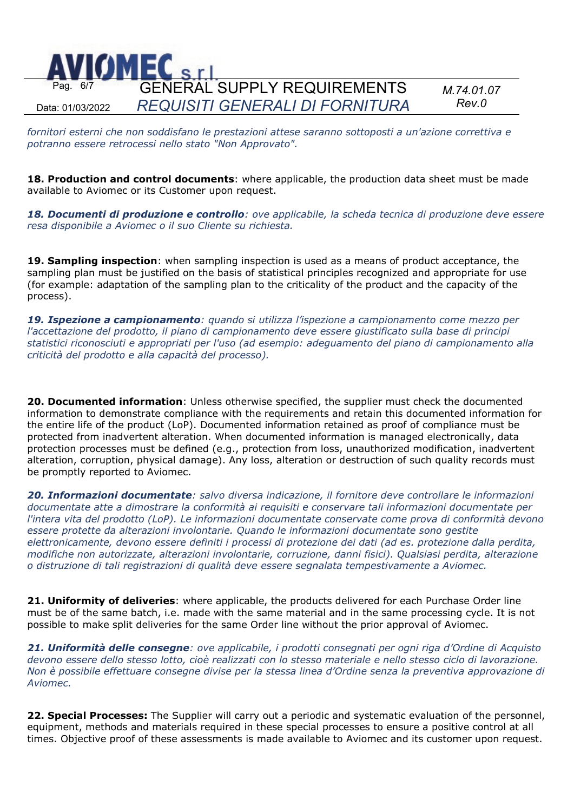

*fornitori esterni che non soddisfano le prestazioni attese saranno sottoposti a un'azione correttiva e potranno essere retrocessi nello stato "Non Approvato".*

**18. Production and control documents**: where applicable, the production data sheet must be made available to Aviomec or its Customer upon request.

*18. Documenti di produzione e controllo: ove applicabile, la scheda tecnica di produzione deve essere resa disponibile a Aviomec o il suo Cliente su richiesta.*

**19. Sampling inspection**: when sampling inspection is used as a means of product acceptance, the sampling plan must be justified on the basis of statistical principles recognized and appropriate for use (for example: adaptation of the sampling plan to the criticality of the product and the capacity of the process).

*19. Ispezione a campionamento: quando si utilizza l'ispezione a campionamento come mezzo per l'accettazione del prodotto, il piano di campionamento deve essere giustificato sulla base di principi statistici riconosciuti e appropriati per l'uso (ad esempio: adeguamento del piano di campionamento alla criticità del prodotto e alla capacità del processo).*

**20. Documented information**: Unless otherwise specified, the supplier must check the documented information to demonstrate compliance with the requirements and retain this documented information for the entire life of the product (LoP). Documented information retained as proof of compliance must be protected from inadvertent alteration. When documented information is managed electronically, data protection processes must be defined (e.g., protection from loss, unauthorized modification, inadvertent alteration, corruption, physical damage). Any loss, alteration or destruction of such quality records must be promptly reported to Aviomec.

*20. Informazioni documentate: salvo diversa indicazione, il fornitore deve controllare le informazioni documentate atte a dimostrare la conformità ai requisiti e conservare tali informazioni documentate per l'intera vita del prodotto (LoP). Le informazioni documentate conservate come prova di conformità devono essere protette da alterazioni involontarie. Quando le informazioni documentate sono gestite elettronicamente, devono essere definiti i processi di protezione dei dati (ad es. protezione dalla perdita, modifiche non autorizzate, alterazioni involontarie, corruzione, danni fisici). Qualsiasi perdita, alterazione o distruzione di tali registrazioni di qualità deve essere segnalata tempestivamente a Aviomec.*

**21. Uniformity of deliveries**: where applicable, the products delivered for each Purchase Order line must be of the same batch, i.e. made with the same material and in the same processing cycle. It is not possible to make split deliveries for the same Order line without the prior approval of Aviomec.

*21. Uniformità delle consegne: ove applicabile, i prodotti consegnati per ogni riga d'Ordine di Acquisto devono essere dello stesso lotto, cioè realizzati con lo stesso materiale e nello stesso ciclo di lavorazione. Non è possibile effettuare consegne divise per la stessa linea d'Ordine senza la preventiva approvazione di Aviomec.*

**22. Special Processes:** The Supplier will carry out a periodic and systematic evaluation of the personnel, equipment, methods and materials required in these special processes to ensure a positive control at all times. Objective proof of these assessments is made available to Aviomec and its customer upon request.